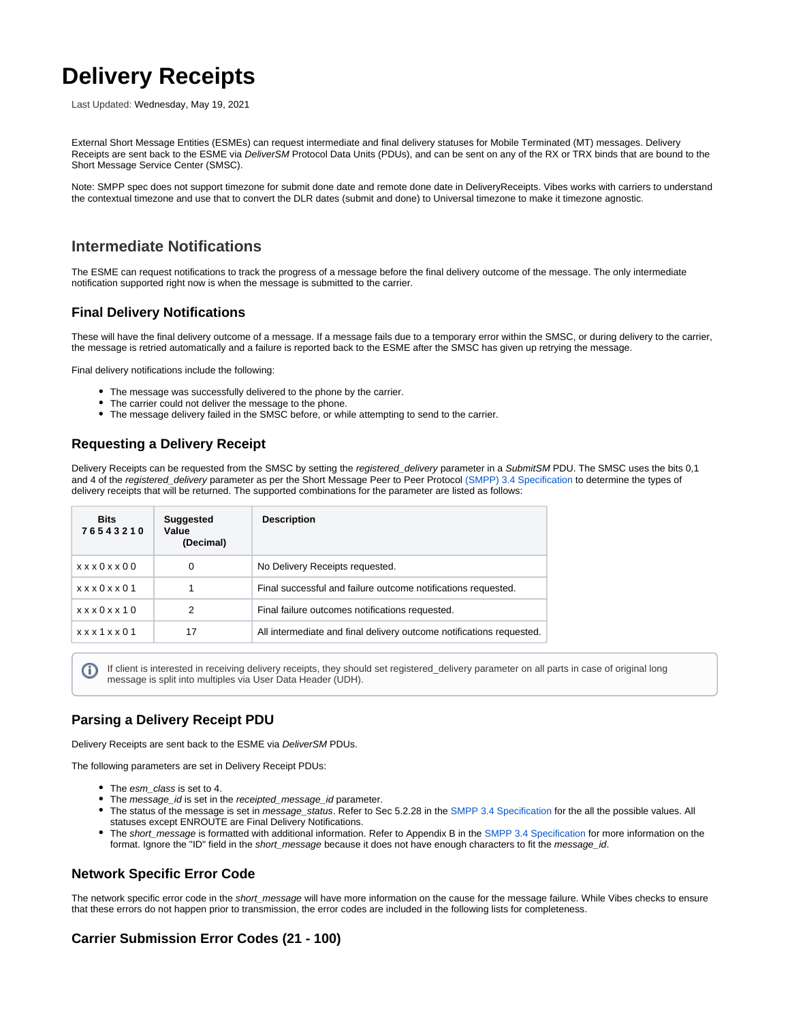# **Delivery Receipts**

Last Updated: Wednesday, May 19, 2021

External Short Message Entities (ESMEs) can request intermediate and final delivery statuses for Mobile Terminated (MT) messages. Delivery Receipts are sent back to the ESME via DeliverSM Protocol Data Units (PDUs), and can be sent on any of the RX or TRX binds that are bound to the Short Message Service Center (SMSC).

Note: SMPP spec does not support timezone for submit done date and remote done date in DeliveryReceipts. Vibes works with carriers to understand the contextual timezone and use that to convert the DLR dates (submit and done) to Universal timezone to make it timezone agnostic.

# **Intermediate Notifications**

The ESME can request notifications to track the progress of a message before the final delivery outcome of the message. The only intermediate notification supported right now is when the message is submitted to the carrier.

## **Final Delivery Notifications**

These will have the final delivery outcome of a message. If a message fails due to a temporary error within the SMSC, or during delivery to the carrier, the message is retried automatically and a failure is reported back to the ESME after the SMSC has given up retrying the message.

Final delivery notifications include the following:

- The message was successfully delivered to the phone by the carrier.
- The carrier could not deliver the message to the phone.
- The message delivery failed in the SMSC before, or while attempting to send to the carrier.

### **Requesting a Delivery Receipt**

Delivery Receipts can be requested from the SMSC by setting the registered\_delivery parameter in a SubmitSM PDU. The SMSC uses the bits 0,1 and 4 of the registered\_delivery parameter as per the Short Message Peer to Peer Protocol [\(SMPP\) 3.4 Specification](http://docs.nimta.com/SMPP_v3_4_Issue1_2.pdf) to determine the types of delivery receipts that will be returned. The supported combinations for the parameter are listed as follows:

| <b>Bits</b><br>76543210 | <b>Suggested</b><br>Value<br>(Decimal) | <b>Description</b>                                                   |
|-------------------------|----------------------------------------|----------------------------------------------------------------------|
| xxx0xx00                | 0                                      | No Delivery Receipts requested.                                      |
| x x x 0 x x 0 1         |                                        | Final successful and failure outcome notifications requested.        |
| x x x 0 x x 10          | 2                                      | Final failure outcomes notifications requested.                      |
| x x x 1 x x 0 1         | 17                                     | All intermediate and final delivery outcome notifications requested. |

If client is interested in receiving delivery receipts, they should set registered delivery parameter on all parts in case of original long (i) message is split into multiples via User Data Header (UDH).

#### **Parsing a Delivery Receipt PDU**

Delivery Receipts are sent back to the ESME via DeliverSM PDUs.

The following parameters are set in Delivery Receipt PDUs:

- The esm\_class is set to 4.
- The message\_id is set in the receipted\_message\_id parameter.
- The status of the message is set in message\_status. Refer to Sec 5.2.28 in the [SMPP 3.4 Specification](http://docs.nimta.com/SMPP_v3_4_Issue1_2.pdf) for the all the possible values. All statuses except ENROUTE are Final Delivery Notifications.
- The short\_message is formatted with additional information. Refer to Appendix B in the [SMPP 3.4 Specification](http://docs.nimta.com/SMPP_v3_4_Issue1_2.pdf) for more information on the format. Ignore the "ID" field in the short\_message because it does not have enough characters to fit the message\_id.

#### **Network Specific Error Code**

The network specific error code in the short\_message will have more information on the cause for the message failure. While Vibes checks to ensure that these errors do not happen prior to transmission, the error codes are included in the following lists for completeness.

#### **Carrier Submission Error Codes (21 - 100)**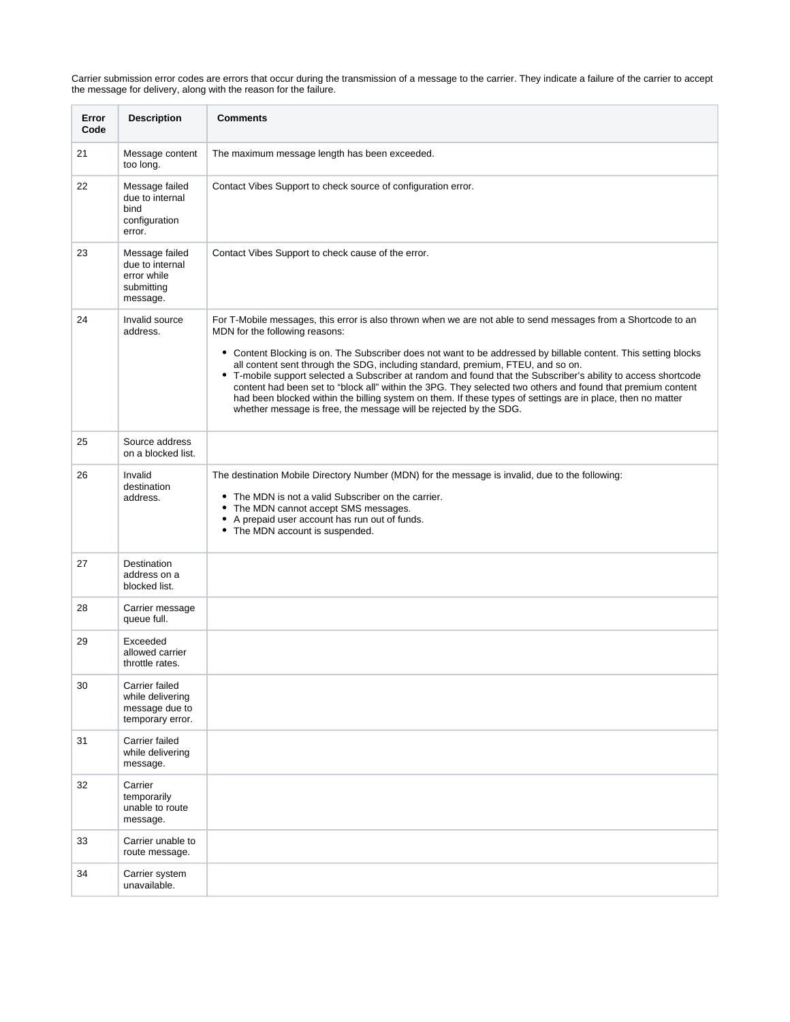Carrier submission error codes are errors that occur during the transmission of a message to the carrier. They indicate a failure of the carrier to accept the message for delivery, along with the reason for the failure.

| Error<br>Code | <b>Description</b>                                                         | <b>Comments</b>                                                                                                                                                                                                                                                                                                                                                                                                                                                                                                                                                                                                                                                                                                                                                            |
|---------------|----------------------------------------------------------------------------|----------------------------------------------------------------------------------------------------------------------------------------------------------------------------------------------------------------------------------------------------------------------------------------------------------------------------------------------------------------------------------------------------------------------------------------------------------------------------------------------------------------------------------------------------------------------------------------------------------------------------------------------------------------------------------------------------------------------------------------------------------------------------|
| 21            | Message content<br>too long.                                               | The maximum message length has been exceeded.                                                                                                                                                                                                                                                                                                                                                                                                                                                                                                                                                                                                                                                                                                                              |
| 22            | Message failed<br>due to internal<br>bind<br>configuration<br>error.       | Contact Vibes Support to check source of configuration error.                                                                                                                                                                                                                                                                                                                                                                                                                                                                                                                                                                                                                                                                                                              |
| 23            | Message failed<br>due to internal<br>error while<br>submitting<br>message. | Contact Vibes Support to check cause of the error.                                                                                                                                                                                                                                                                                                                                                                                                                                                                                                                                                                                                                                                                                                                         |
| 24            | Invalid source<br>address.                                                 | For T-Mobile messages, this error is also thrown when we are not able to send messages from a Shortcode to an<br>MDN for the following reasons:<br>• Content Blocking is on. The Subscriber does not want to be addressed by billable content. This setting blocks<br>all content sent through the SDG, including standard, premium, FTEU, and so on.<br>• T-mobile support selected a Subscriber at random and found that the Subscriber's ability to access shortcode<br>content had been set to "block all" within the 3PG. They selected two others and found that premium content<br>had been blocked within the billing system on them. If these types of settings are in place, then no matter<br>whether message is free, the message will be rejected by the SDG. |
| 25            | Source address<br>on a blocked list.                                       |                                                                                                                                                                                                                                                                                                                                                                                                                                                                                                                                                                                                                                                                                                                                                                            |
| 26            | Invalid<br>destination<br>address.                                         | The destination Mobile Directory Number (MDN) for the message is invalid, due to the following:<br>The MDN is not a valid Subscriber on the carrier.<br>The MDN cannot accept SMS messages.<br>$\bullet$<br>A prepaid user account has run out of funds.<br>٠<br>• The MDN account is suspended.                                                                                                                                                                                                                                                                                                                                                                                                                                                                           |
| 27            | Destination<br>address on a<br>blocked list.                               |                                                                                                                                                                                                                                                                                                                                                                                                                                                                                                                                                                                                                                                                                                                                                                            |
| 28            | Carrier message<br>queue full.                                             |                                                                                                                                                                                                                                                                                                                                                                                                                                                                                                                                                                                                                                                                                                                                                                            |
| 29            | Exceeded<br>allowed carrier<br>throttle rates.                             |                                                                                                                                                                                                                                                                                                                                                                                                                                                                                                                                                                                                                                                                                                                                                                            |
| 30            | Carrier failed<br>while delivering<br>message due to<br>temporary error.   |                                                                                                                                                                                                                                                                                                                                                                                                                                                                                                                                                                                                                                                                                                                                                                            |
| 31            | Carrier failed<br>while delivering<br>message.                             |                                                                                                                                                                                                                                                                                                                                                                                                                                                                                                                                                                                                                                                                                                                                                                            |
| 32            | Carrier<br>temporarily<br>unable to route<br>message.                      |                                                                                                                                                                                                                                                                                                                                                                                                                                                                                                                                                                                                                                                                                                                                                                            |
| 33            | Carrier unable to<br>route message.                                        |                                                                                                                                                                                                                                                                                                                                                                                                                                                                                                                                                                                                                                                                                                                                                                            |
| 34            | Carrier system<br>unavailable.                                             |                                                                                                                                                                                                                                                                                                                                                                                                                                                                                                                                                                                                                                                                                                                                                                            |